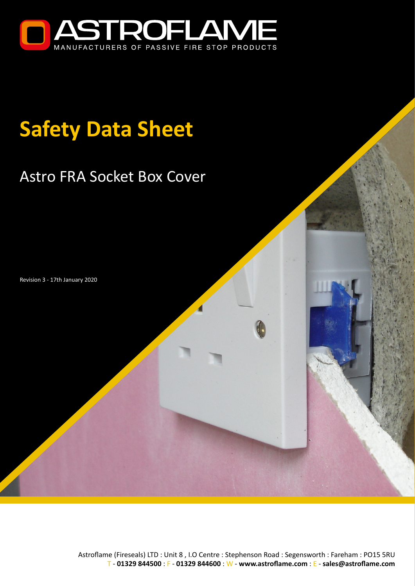

# **Safety Data Sheet**

# Astro FRA Socket Box Cover

Revision 3 - 17th January 2020

Astroflame (Fireseals) LTD : Unit 8 , I.O Centre : Stephenson Road : Segensworth : Fareham : PO15 5RU T - **01329 844500** : F - **01329 844600** : W - **[www.astroflame.com](https://www.astroflame.com)** : E - **[sales@astroflame.com](mailto:sales%40astroflame.com?subject=)**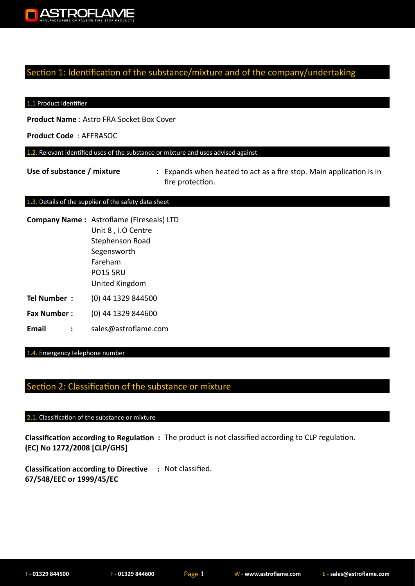

#### Section 1: Identification of the substance/mixture and of the company/undertaking

#### 1.1 Product identifier

**Product Name** : Astro FRA Socket Box Cover

**Product Code** : AFFRASOC

1.2. Relevant identified uses of the substance or mixture and uses advised against

Use of substance / mixture : Expands when heated to act as a fire stop. Main application is in fire protection.

#### 1.3. Details of the supplier of the safety data sheet

| <b>Company Name:</b> Astroflame (Fireseals) LTD |
|-------------------------------------------------|
| Unit 8, I.O Centre                              |
| Stephenson Road                                 |
| Segensworth                                     |
| Fareham                                         |
| <b>PO15 5RU</b>                                 |
| United Kingdom                                  |
|                                                 |

- **Tel Number :** (0) 44 1329 844500
- **Fax Number :** (0) 44 1329 844600
- **Email :** sales@astroflame.com

1.4. Emergency telephone number

#### Section 2: Classification of the substance or mixture

#### 2.1. Classification of the substance or mixture

**Classification according to Regulation :**  The product is not classified according to CLP regulation. **(EC) No 1272/2008 [CLP/GHS]**

**Classification according to Directive :**  Not classified. **67/548/EEC or 1999/45/EC**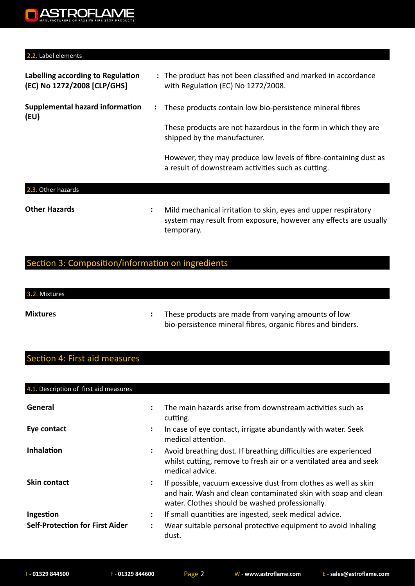#### 2.2. Label elements

| Labelling according to Regulation<br>(EC) No 1272/2008 [CLP/GHS] |   | : The product has not been classified and marked in accordance<br>with Regulation (EC) No 1272/2008.                   |
|------------------------------------------------------------------|---|------------------------------------------------------------------------------------------------------------------------|
| Supplemental hazard information<br>(EU)                          | ÷ | These products contain low bio-persistence mineral fibres                                                              |
|                                                                  |   | These products are not hazardous in the form in which they are<br>shipped by the manufacturer.                         |
|                                                                  |   | However, they may produce low levels of fibre-containing dust as<br>a result of downstream activities such as cutting. |
| Other hazards<br>2.3.                                            |   |                                                                                                                        |

**Other Hazards :** 

Mild mechanical irritation to skin, eyes and upper respiratory system may result from exposure, however any effects are usually temporary.

## Section 3: Composition/information on ingredients

# 3.2. Mixtures

**Mixtures :** 

These products are made from varying amounts of low bio-persistence mineral fibres, organic fibres and binders.

## Section 4: First aid measures

| 4.1. Description of first aid measures              |                                              |                                                                                                                                                                                      |
|-----------------------------------------------------|----------------------------------------------|--------------------------------------------------------------------------------------------------------------------------------------------------------------------------------------|
| General                                             |                                              | The main hazards arise from downstream activities such as<br>cutting.                                                                                                                |
| Eye contact                                         | $\ddot{\phantom{a}}$                         | In case of eye contact, irrigate abundantly with water. Seek<br>medical attention.                                                                                                   |
| Inhalation                                          | ÷                                            | Avoid breathing dust. If breathing difficulties are experienced<br>whilst cutting, remove to fresh air or a ventilated area and seek<br>medical advice.                              |
| <b>Skin contact</b>                                 | ٠<br>$\bullet$                               | If possible, vacuum excessive dust from clothes as well as skin<br>and hair. Wash and clean contaminated skin with soap and clean<br>water. Clothes should be washed professionally. |
| Ingestion<br><b>Self-Protection for First Aider</b> | $\ddot{\phantom{a}}$<br>$\ddot{\phantom{a}}$ | If small quantities are ingested, seek medical advice.<br>Wear suitable personal protective equipment to avoid inhaling<br>dust.                                                     |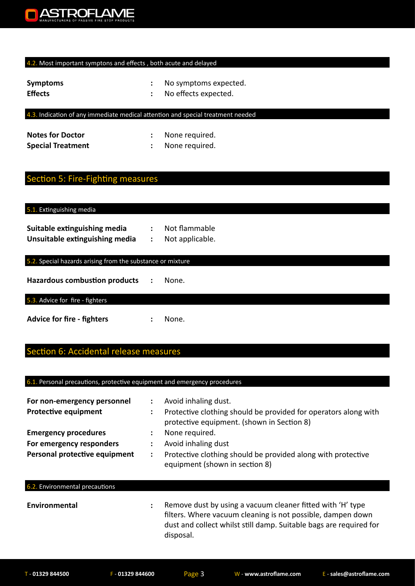

#### 4.2. Most important symptons and effects, both acute and delayed

| <b>Symptoms</b> | No symptoms expected. |
|-----------------|-----------------------|
| <b>Effects</b>  | No effects expected.  |

#### 4.3. Indication of any immediate medical attention and special treatment needed

| <b>Notes for Doctor</b>  | None required. |
|--------------------------|----------------|
| <b>Special Treatment</b> | None required. |

#### ection 5: Fire-Fighting measures

| 5.1. Extinguishing media |
|--------------------------|
|--------------------------|

| Suitable extinguishing media   | Not flammable   |
|--------------------------------|-----------------|
| Unsuitable extinguishing media | Not applicable. |

#### 5.2. Special hazards arising from the substance or mixture

**Hazardous combustion products :** None.

5.3. Advice for fire - fighters

Advice for fire - fighters : None.

## ection 6: Accidental release measures

#### 6.1. Personal precautions, protective equipment and emergency procedures

| For non-emergency personnel<br><b>Protective equipment</b> | ÷<br>÷ | Avoid inhaling dust.<br>Protective clothing should be provided for operators along with<br>protective equipment. (shown in Section 8)                                                           |
|------------------------------------------------------------|--------|-------------------------------------------------------------------------------------------------------------------------------------------------------------------------------------------------|
| <b>Emergency procedures</b>                                | ÷      | None required.                                                                                                                                                                                  |
| For emergency responders                                   | ÷      | Avoid inhaling dust                                                                                                                                                                             |
| Personal protective equipment                              | ÷      | Protective clothing should be provided along with protective<br>equipment (shown in section 8)                                                                                                  |
| 6.2. Environmental precautions                             |        |                                                                                                                                                                                                 |
| Environmental                                              | ÷      | Remove dust by using a vacuum cleaner fitted with 'H' type<br>filters. Where vacuum cleaning is not possible, dampen down<br>dust and collect whilst still damp. Suitable bags are required for |

disposal.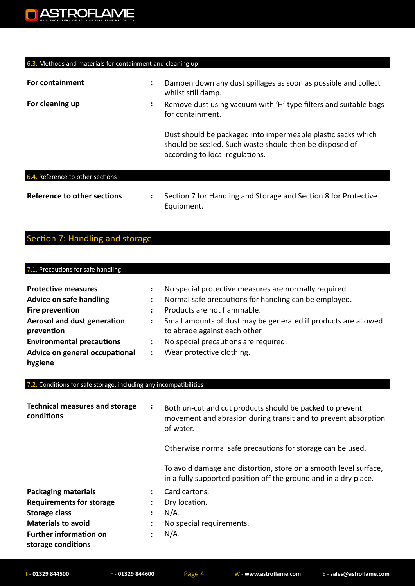

#### 6.3. Methods and materials for containment and cleaning up

| For containment                  | ٠<br>$\bullet$ | Dampen down any dust spillages as soon as possible and collect<br>whilst still damp.                                                                       |
|----------------------------------|----------------|------------------------------------------------------------------------------------------------------------------------------------------------------------|
| For cleaning up                  | :              | Remove dust using vacuum with 'H' type filters and suitable bags<br>for containment.                                                                       |
|                                  |                | Dust should be packaged into impermeable plastic sacks which<br>should be sealed. Such waste should then be disposed of<br>according to local regulations. |
| 6.4. Reference to other sections |                |                                                                                                                                                            |

#### **Reference to other sections : Section 7 for Handling and Storage and Section 8 for Protective** Equipment.

#### Section 7: Handling and storage

#### 7.1. Precautions for safe handling **Protective measures <b>:** No special protective measures are normally required **Advice on safe handling :** Normal safe precautions for handling can be employed. **Fire prevention :** Products are not flammable. **Aerosol and dust generation : prevention** Small amounts of dust may be generated if products are allowed to abrade against each other

- **Environmental precautions :** No special precautions are required.
- **Advice on general occupational :**  Wear protective clothing.

#### 7.2. Conditions for safe storage, including any incompatibilities

| <b>Technical measures and storage</b><br>conditions | ÷              | Both un-cut and cut products should be packed to prevent<br>movement and abrasion during transit and to prevent absorption<br>of water. |
|-----------------------------------------------------|----------------|-----------------------------------------------------------------------------------------------------------------------------------------|
|                                                     |                | Otherwise normal safe precautions for storage can be used.                                                                              |
|                                                     |                | To avoid damage and distortion, store on a smooth level surface,<br>in a fully supported position off the ground and in a dry place.    |
| <b>Packaging materials</b>                          | ÷              | Card cartons.                                                                                                                           |
| <b>Requirements for storage</b>                     |                | Dry location.                                                                                                                           |
| <b>Storage class</b>                                |                | $N/A$ .                                                                                                                                 |
| <b>Materials to avoid</b>                           | $\ddot{\cdot}$ | No special requirements.                                                                                                                |
| <b>Further information on</b><br>storage conditions |                | $N/A$ .                                                                                                                                 |

**hygiene**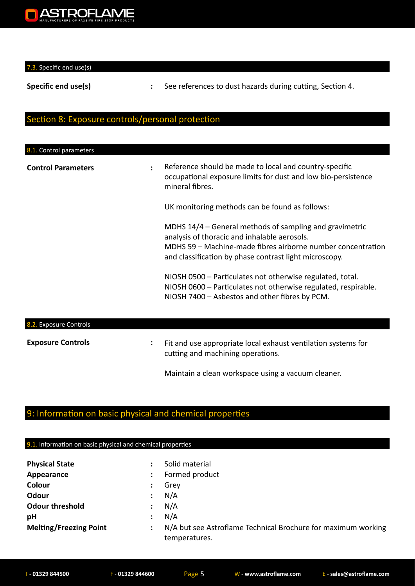

7.3. Specific end use(s)

**Specific end use(s) <b>:** See references to dust hazards during cutting, Section 4.

#### Section 8: Exposure controls/personal protection

| 8.1. Control parameters   |   |                                                                                                                                                                                                                                  |
|---------------------------|---|----------------------------------------------------------------------------------------------------------------------------------------------------------------------------------------------------------------------------------|
| <b>Control Parameters</b> | ÷ | Reference should be made to local and country-specific<br>occupational exposure limits for dust and low bio-persistence<br>mineral fibres.                                                                                       |
|                           |   | UK monitoring methods can be found as follows:                                                                                                                                                                                   |
|                           |   | MDHS 14/4 - General methods of sampling and gravimetric<br>analysis of thoracic and inhalable aerosols.<br>MDHS 59 - Machine-made fibres airborne number concentration<br>and classification by phase contrast light microscopy. |
|                           |   | NIOSH 0500 - Particulates not otherwise regulated, total.<br>NIOSH 0600 - Particulates not otherwise regulated, respirable.<br>NIOSH 7400 - Asbestos and other fibres by PCM.                                                    |
| 8.2. Exposure Controls    |   |                                                                                                                                                                                                                                  |
| <b>Exposure Controls</b>  | ÷ | Fit and use appropriate local exhaust ventilation systems for<br>cutting and machining operations.                                                                                                                               |
|                           |   | Maintain a clean workspace using a vacuum cleaner.                                                                                                                                                                               |

# 9: Information on basic physical and chemical properties

#### 9.1. Information on basic physical and chemical properties

| <b>Physical State</b>         |                | Solid material                                                                 |
|-------------------------------|----------------|--------------------------------------------------------------------------------|
| Appearance                    |                | Formed product                                                                 |
| Colour                        | $\ddot{\cdot}$ | Grey                                                                           |
| Odour                         |                | N/A                                                                            |
| <b>Odour threshold</b>        |                | N/A                                                                            |
| pH                            |                | N/A                                                                            |
| <b>Melting/Freezing Point</b> | ÷              | N/A but see Astroflame Technical Brochure for maximum working<br>temperatures. |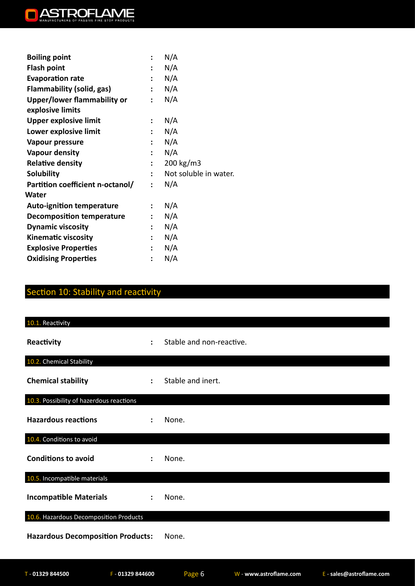

| <b>Boiling point</b>                            |                      | N/A                   |
|-------------------------------------------------|----------------------|-----------------------|
| <b>Flash point</b>                              | $\ddot{\phantom{a}}$ | N/A                   |
| <b>Evaporation rate</b>                         | $\ddot{\phantom{a}}$ | N/A                   |
| Flammability (solid, gas)                       | $\mathbf{L}$         | N/A                   |
| Upper/lower flammability or<br>explosive limits | $\ddot{\cdot}$       | N/A                   |
| <b>Upper explosive limit</b>                    | $\ddot{\cdot}$       | N/A                   |
| Lower explosive limit                           | $\ddot{\phantom{a}}$ | N/A                   |
| Vapour pressure                                 | $\ddot{\phantom{a}}$ | N/A                   |
| <b>Vapour density</b>                           | $\mathbf{L}$         | N/A                   |
| <b>Relative density</b>                         | $\mathbf{L}$         | $200 \text{ kg/m}$ 3  |
| <b>Solubility</b>                               |                      | Not soluble in water. |
| Partition coefficient n-octanol/                | $\ddot{\phantom{a}}$ | N/A                   |
| Water                                           |                      |                       |
| <b>Auto-ignition temperature</b>                | $\ddot{\cdot}$       | N/A                   |
| <b>Decomposition temperature</b>                | $\ddot{\phantom{a}}$ | N/A                   |
| <b>Dynamic viscosity</b>                        | $\ddot{\phantom{a}}$ | N/A                   |
| <b>Kinematic viscosity</b>                      | $\ddot{\phantom{a}}$ | N/A                   |
| <b>Explosive Properties</b>                     | $\ddot{\cdot}$       | N/A                   |
| <b>Oxidising Properties</b>                     | $\ddot{\phantom{a}}$ | N/A                   |

# Section 10: Stability and reactivity

| 10.1. Reactivity                         |                      |                          |
|------------------------------------------|----------------------|--------------------------|
| Reactivity                               | $\ddot{\cdot}$       | Stable and non-reactive. |
| 10.2. Chemical Stability                 |                      |                          |
| <b>Chemical stability</b>                | $\ddot{\phantom{a}}$ | Stable and inert.        |
| 10.3. Possibility of hazerdous reactions |                      |                          |
| <b>Hazardous reactions</b>               |                      | None.                    |
| 10.4. Conditions to avoid                |                      |                          |
| <b>Conditions to avoid</b>               |                      | None.                    |
| 10.5. Incompatible materials             |                      |                          |
| <b>Incompatible Materials</b>            | $\ddot{\phantom{a}}$ | None.                    |
| 10.6. Hazardous Decomposition Products   |                      |                          |
| <b>Hazardous Decomposition Products:</b> |                      | None.                    |
|                                          |                      |                          |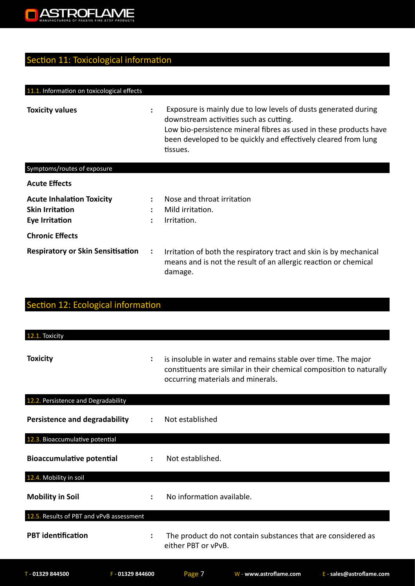

# Section 11: Toxicological information

| 11.1. Information on toxicological effects                                   |                           |                                                                                                                                                                                                                                                             |
|------------------------------------------------------------------------------|---------------------------|-------------------------------------------------------------------------------------------------------------------------------------------------------------------------------------------------------------------------------------------------------------|
| <b>Toxicity values</b>                                                       | ÷                         | Exposure is mainly due to low levels of dusts generated during<br>downstream activities such as cutting.<br>Low bio-persistence mineral fibres as used in these products have<br>been developed to be quickly and effectively cleared from lung<br>tissues. |
| Symptoms/routes of exposure                                                  |                           |                                                                                                                                                                                                                                                             |
| <b>Acute Effects</b>                                                         |                           |                                                                                                                                                                                                                                                             |
| <b>Acute Inhalation Toxicity</b><br><b>Skin Irritation</b><br>Eye Irritation | $\ddot{\phantom{a}}$<br>÷ | Nose and throat irritation<br>Mild irritation.<br>Irritation.                                                                                                                                                                                               |
| <b>Chronic Effects</b>                                                       |                           |                                                                                                                                                                                                                                                             |
| <b>Respiratory or Skin Sensitisation</b>                                     | $\ddot{\cdot}$            | Irritation of both the respiratory tract and skin is by mechanical<br>means and is not the result of an allergic reaction or chemical<br>damage.                                                                                                            |

| Section 12: Ecological information       |                      |                                                                                                                                                                           |
|------------------------------------------|----------------------|---------------------------------------------------------------------------------------------------------------------------------------------------------------------------|
| 12.1. Toxicity                           |                      |                                                                                                                                                                           |
| <b>Toxicity</b>                          | $\ddot{\cdot}$       | is insoluble in water and remains stable over time. The major<br>constituents are similar in their chemical composition to naturally<br>occurring materials and minerals. |
| 12.2. Persistence and Degradability      |                      |                                                                                                                                                                           |
| <b>Persistence and degradability</b>     |                      | Not established                                                                                                                                                           |
| 12.3. Bioaccumulative potential          |                      |                                                                                                                                                                           |
| <b>Bioaccumulative potential</b>         |                      | Not established.                                                                                                                                                          |
| 12.4. Mobility in soil                   |                      |                                                                                                                                                                           |
| <b>Mobility in Soil</b>                  | $\ddot{\phantom{a}}$ | No information available.                                                                                                                                                 |
| 12.5. Results of PBT and vPvB assessment |                      |                                                                                                                                                                           |
| <b>PBT</b> identification                |                      | The product do not contain substances that are considered as<br>either PBT or vPvB.                                                                                       |
| T - 01329 844500                         | $F - 01329844600$    | Page 7<br>E - sales@astroflame.com<br>W - www.astroflame.com                                                                                                              |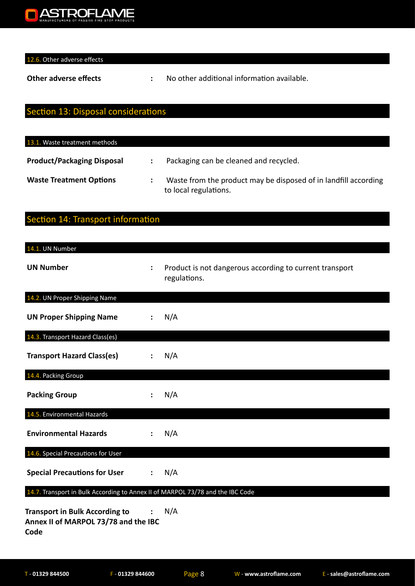

12.6. Other adverse effects

**Other adverse effects :** No other additional information available.

#### Section 13: Disposal considerations

| 13.1. Waste treatment methods     |                                                                                          |
|-----------------------------------|------------------------------------------------------------------------------------------|
| <b>Product/Packaging Disposal</b> | Packaging can be cleaned and recycled.                                                   |
| <b>Waste Treatment Options</b>    | Waste from the product may be disposed of in landfill according<br>to local regulations. |

# Section 14: Transport information

| 14.1. UN Number                                                                       |                      |                                                                         |
|---------------------------------------------------------------------------------------|----------------------|-------------------------------------------------------------------------|
| <b>UN Number</b>                                                                      | ÷                    | Product is not dangerous according to current transport<br>regulations. |
| 14.2. UN Proper Shipping Name                                                         |                      |                                                                         |
| <b>UN Proper Shipping Name</b>                                                        |                      | N/A                                                                     |
| 14.3. Transport Hazard Class(es)                                                      |                      |                                                                         |
| <b>Transport Hazard Class(es)</b>                                                     |                      | N/A                                                                     |
| 14.4. Packing Group                                                                   |                      |                                                                         |
| <b>Packing Group</b>                                                                  |                      | N/A                                                                     |
| 14.5. Environmental Hazards                                                           |                      |                                                                         |
| <b>Environmental Hazards</b>                                                          |                      | N/A                                                                     |
| 14.6. Special Precautions for User                                                    |                      |                                                                         |
| <b>Special Precautions for User</b>                                                   | $\ddot{\phantom{a}}$ | N/A                                                                     |
| 14.7. Transport in Bulk According to Annex II of MARPOL 73/78 and the IBC Code        |                      |                                                                         |
| <b>Transport in Bulk According to</b><br>Annex II of MARPOL 73/78 and the IBC<br>Code |                      | N/A                                                                     |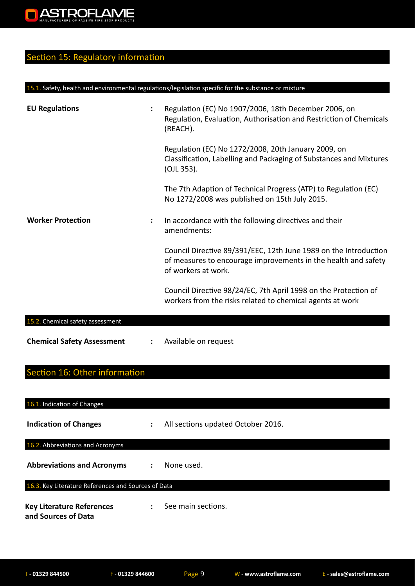# Section 15: Regulatory information

#### 15.1. Safety, health and environmental regulations/legislation specific for the substance or mixture

| <b>EU Regulations</b>             | Regulation (EC) No 1907/2006, 18th December 2006, on<br>Regulation, Evaluation, Authorisation and Restriction of Chemicals<br>(REACH).                    |
|-----------------------------------|-----------------------------------------------------------------------------------------------------------------------------------------------------------|
|                                   | Regulation (EC) No 1272/2008, 20th January 2009, on<br>Classification, Labelling and Packaging of Substances and Mixtures<br>(OJL 353).                   |
|                                   | The 7th Adaption of Technical Progress (ATP) to Regulation (EC)<br>No 1272/2008 was published on 15th July 2015.                                          |
| <b>Worker Protection</b>          | In accordance with the following directives and their<br>amendments:                                                                                      |
|                                   | Council Directive 89/391/EEC, 12th June 1989 on the Introduction<br>of measures to encourage improvements in the health and safety<br>of workers at work. |
|                                   | Council Directive 98/24/EC, 7th April 1998 on the Protection of<br>workers from the risks related to chemical agents at work                              |
| 15.2. Chemical safety assessment  |                                                                                                                                                           |
| <b>Chemical Safety Assessment</b> | Available on request                                                                                                                                      |

# Section 16: Other information

| 16.1. Indication of Changes                             |                      |                                    |
|---------------------------------------------------------|----------------------|------------------------------------|
| <b>Indication of Changes</b>                            | $\ddot{\phantom{a}}$ | All sections updated October 2016. |
| 16.2. Abbreviations and Acronyms                        |                      |                                    |
| <b>Abbreviations and Acronyms</b>                       | $\ddot{\phantom{a}}$ | None used.                         |
| 16.3. Key Literature References and Sources of Data     |                      |                                    |
| <b>Key Literature References</b><br>and Sources of Data | $\bullet$            | See main sections.                 |